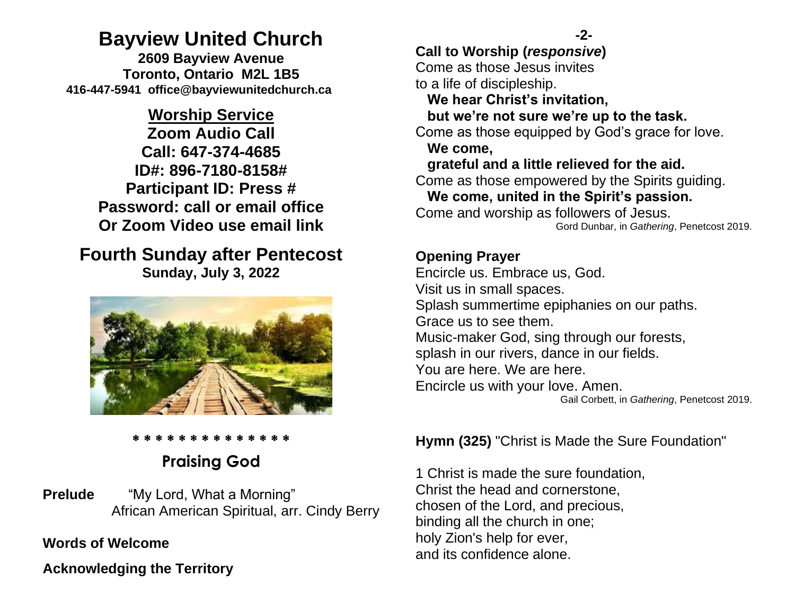# **Bayview United Church**

**2609 Bayview Avenue Toronto, Ontario M2L 1B5 416-447-5941 office@bayviewunitedchurch.ca** 

## **Worship Service**

**Zoom Audio Call Call: 647-374-4685 ID#: 896-7180-8158# Participant ID: Press # Password: call or email office Or Zoom Video use email link** 

### **Fourth Sunday after Pentecost Sunday, July 3, 2022**



#### **\* \* \* \* \* \* \* \* \* \* \* \* \* \***

# **Praising God**

**Prelude** "My Lord, What a Morning" African American Spiritual, arr. Cindy Berry

#### **Words of Welcome**  Ī

**Acknowledging the Territory**

### **Call to Worship (***responsive***)**

Come as those Jesus invites to a life of discipleship.

 **We hear Christ's invitation,**

### **but we're not sure we're up to the task.**

Come as those equipped by God's grace for love.  **We come,** 

### **grateful and a little relieved for the aid.**

Come as those empowered by the Spirits guiding.  **We come, united in the Spirit's passion.**

Come and worship as followers of Jesus. Gord Dunbar, in *Gathering*, Penetcost 2019.

### **Opening Prayer**

Encircle us. Embrace us, God. Visit us in small spaces. Splash summertime epiphanies on our paths. Grace us to see them. Music-maker God, sing through our forests, splash in our rivers, dance in our fields. You are here. We are here. Encircle us with your love. Amen. Gail Corbett, in *Gathering*, Penetcost 2019.

### **Hymn (325)** "Christ is Made the Sure Foundation"

1 Christ is made the sure foundation, Christ the head and cornerstone, chosen of the Lord, and precious, binding all the church in one; holy Zion's help for ever, and its confidence alone.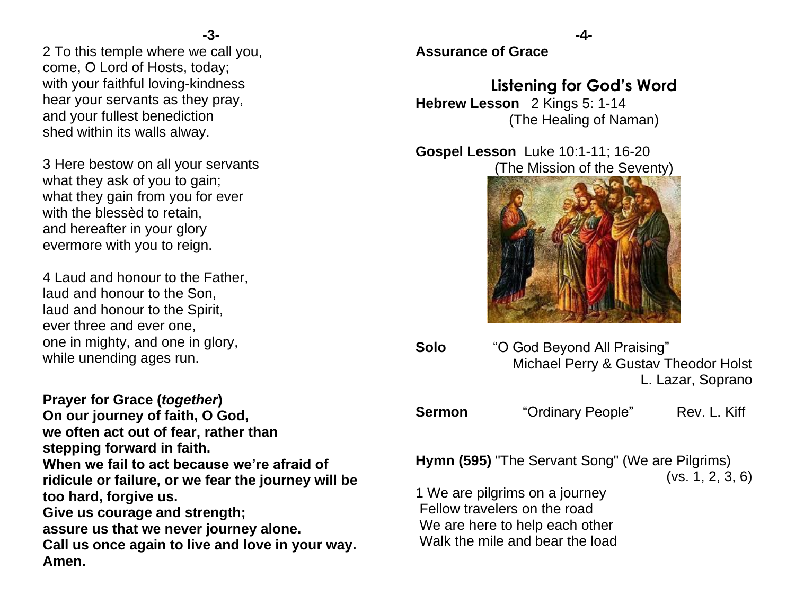2 To this temple where we call you, come, O Lord of Hosts, today; with your faithful loving-kindness hear your servants as they pray, and your fullest benediction shed within its walls alway.

3 Here bestow on all your servants what they ask of you to gain; what they gain from you for ever with the blessèd to retain, and hereafter in your glory evermore with you to reign.

4 Laud and honour to the Father, laud and honour to the Son, laud and honour to the Spirit, ever three and ever one, one in mighty, and one in glory, while unending ages run.

**Prayer for Grace (***together***) On our journey of faith, O God, we often act out of fear, rather than stepping forward in faith. When we fail to act because we're afraid of ridicule or failure, or we fear the journey will be too hard, forgive us. Give us courage and strength; assure us that we never journey alone. Call us once again to live and love in your way. Amen.**

**Assurance of Grace**

## **Listening for God's Word**

**Hebrew Lesson** 2 Kings 5: 1-14 (The Healing of Naman)

**Gospel Lesson** Luke 10:1-11; 16-20 (The Mission of the Seventy)



**Solo** "O God Beyond All Praising" Michael Perry & Gustav Theodor Holst L. Lazar, Soprano

| <b>Sermon</b> | "Ordinary People" | Rev. L. Kiff |
|---------------|-------------------|--------------|
|---------------|-------------------|--------------|

**Hymn (595)** "The Servant Song" (We are Pilgrims)

(vs. 1, 2, 3, 6)

1 We are pilgrims on a journey Fellow travelers on the road We are here to help each other Walk the mile and bear the load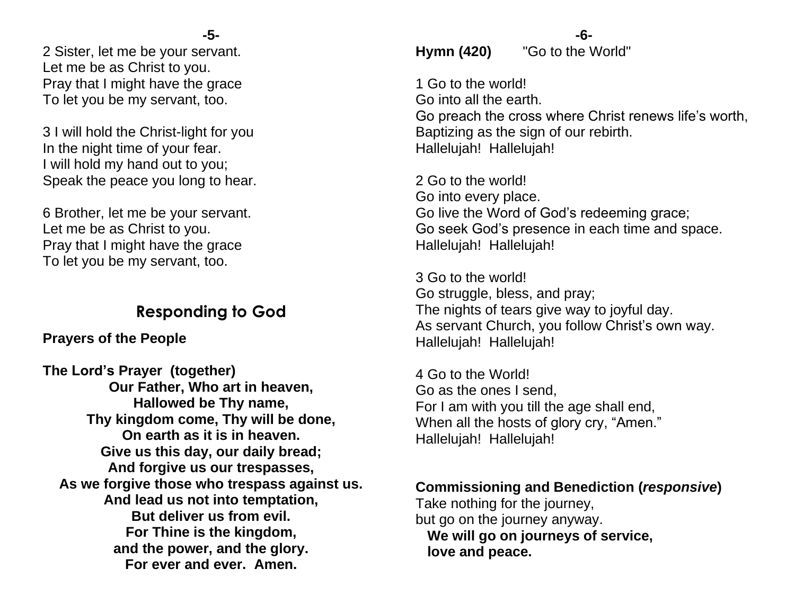2 Sister, let me be your servant. Let me be as Christ to you. Pray that I might have the grace To let you be my servant, too.

3 I will hold the Christ-light for you In the night time of your fear. I will hold my hand out to you; Speak the peace you long to hear.

6 Brother, let me be your servant. Let me be as Christ to you. Pray that I might have the grace To let you be my servant, too.

### **Responding to God**

### **Prayers of the People**

**The Lord's Prayer (together) Our Father, Who art in heaven, Hallowed be Thy name, Thy kingdom come, Thy will be done, On earth as it is in heaven. Give us this day, our daily bread; And forgive us our trespasses, As we forgive those who trespass against us. And lead us not into temptation, But deliver us from evil. For Thine is the kingdom, and the power, and the glory. For ever and ever. Amen.**

### **-6- Hymn (420)** "Go to the World"

1 Go to the world! Go into all the earth. Go preach the cross where Christ renews life's worth, Baptizing as the sign of our rebirth. Hallelujah! Hallelujah!

2 Go to the world! Go into every place. Go live the Word of God's redeeming grace; Go seek God's presence in each time and space. Hallelujah! Hallelujah!

3 Go to the world! Go struggle, bless, and pray; The nights of tears give way to joyful day. As servant Church, you follow Christ's own way. Hallelujah! Hallelujah!

4 Go to the World! Go as the ones I send, For I am with you till the age shall end, When all the hosts of glory cry, "Amen." Hallelujah! Hallelujah!

**Commissioning and Benediction (***responsive***)** Take nothing for the journey, but go on the journey anyway.  **We will go on journeys of service, love and peace.**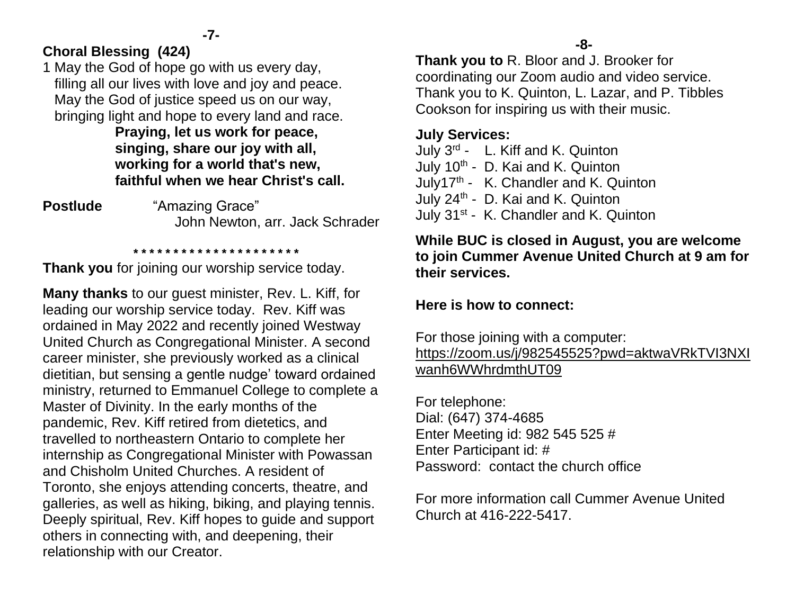### **Choral Blessing (424)**

1 May the God of hope go with us every day, filling all our lives with love and joy and peace. May the God of justice speed us on our way, bringing light and hope to every land and race.

**Praying, let us work for peace, singing, share our joy with all, working for a world that's new, faithful when we hear Christ's call.**

**Postlude** "Amazing Grace" John Newton, arr. Jack Schrader

**Thank you** for joining our worship service today.

 **\* \* \* \* \* \* \* \* \* \* \* \* \* \* \* \* \* \* \* \* \*** 

**Many thanks** to our guest minister, Rev. L. Kiff, for leading our worship service today. Rev. Kiff was ordained in May 2022 and recently joined Westway United Church as Congregational Minister. A second career minister, she previously worked as a clinical dietitian, but sensing a gentle nudge' toward ordained ministry, returned to Emmanuel College to complete a Master of Divinity. In the early months of the pandemic, Rev. Kiff retired from dietetics, and travelled to northeastern Ontario to complete her internship as Congregational Minister with Powassan and Chisholm United Churches. A resident of Toronto, she enjoys attending concerts, theatre, and galleries, as well as hiking, biking, and playing tennis. Deeply spiritual, Rev. Kiff hopes to guide and support others in connecting with, and deepening, their relationship with our Creator.

**Thank you to** R. Bloor and J. Brooker for coordinating our Zoom audio and video service. Thank you to K. Quinton, L. Lazar, and P. Tibbles Cookson for inspiring us with their music.

#### **July Services:**

July 3<sup>rd</sup> - L. Kiff and K. Quinton July 10<sup>th</sup> - D. Kai and K. Quinton July17<sup>th</sup> - K. Chandler and K. Quinton July 24<sup>th</sup> - D. Kai and K. Quinton July 31<sup>st</sup> - K. Chandler and K. Quinton

### **While BUC is closed in August, you are welcome to join Cummer Avenue United Church at 9 am for their services.**

### **Here is how to connect:**

For those joining with a computer: [https://zoom.us/j/982545525?pwd=aktwaVRkTVI3NXI](https://zoom.us/j/982545525?pwd=aktwaVRkTVI3NXIwanh6WWhrdmthUT09) [wanh6WWhrdmthUT09](https://zoom.us/j/982545525?pwd=aktwaVRkTVI3NXIwanh6WWhrdmthUT09)

For telephone: Dial: (647) 374-4685 Enter Meeting id: 982 545 525 # Enter Participant id: # Password: contact the church office

For more information call Cummer Avenue United Church at 416-222-5417.